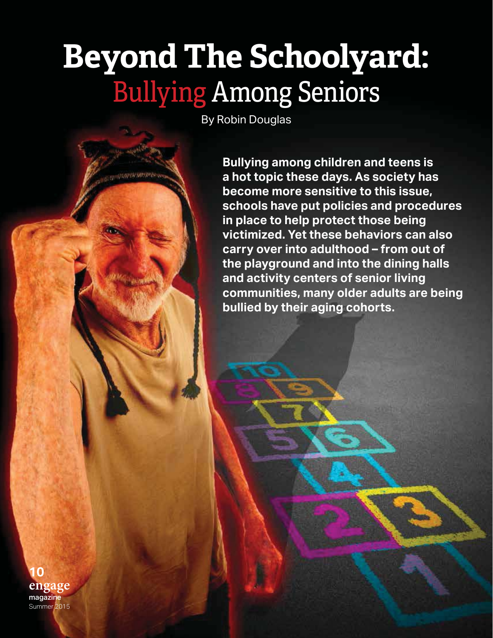# **Beyond The Schoolyard:** Bullying Among Seniors

By Robin Douglas

**USAN SURFACE** 

**Bullying among children and teens is a hot topic these days. As society has become more sensitive to this issue, schools have put policies and procedures in place to help protect those being victimized. Yet these behaviors can also carry over into adulthood – from out of the playground and into the dining halls and activity centers of senior living communities, many older adults are being bullied by their aging cohorts.**

**engage** magazineSummer 2015 **10**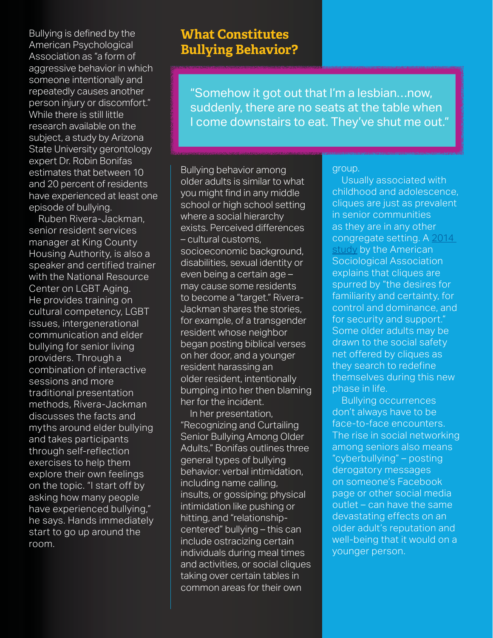Bullying is defined by the American Psychological Association as "a form of aggressive behavior in which someone intentionally and repeatedly causes another person injury or discomfort." While there is still little research available on the subject, a study by Arizona State University gerontology expert Dr. Robin Bonifas estimates that between 10 and 20 percent of residents have experienced at least one episode of bullying.

 Ruben Rivera-Jackman, senior resident services manager at King County Housing Authority, is also a speaker and certified trainer with the National Resource Center on LGBT Aging. He provides training on cultural competency, LGBT issues, intergenerational communication and elder bullying for senior living providers. Through a combination of interactive sessions and more traditional presentation methods, Rivera-Jackman discusses the facts and myths around elder bullying and takes participants through self-reflection exercises to help them explore their own feelings on the topic. "I start off by asking how many people have experienced bullying," he says. Hands immediately start to go up around the room.

# **What Constitutes Bullying Behavior?**

"Somehow it got out that I'm a lesbian…now, suddenly, there are no seats at the table when I come downstairs to eat. They've shut me out."

Bullying behavior among older adults is similar to what you might find in any middle school or high school setting where a social hierarchy exists. Perceived differences – cultural customs, socioeconomic background, disabilities, sexual identity or even being a certain age – may cause some residents to become a "target." Rivera-Jackman shares the stories, for example, of a transgender resident whose neighbor began posting biblical verses on her door, and a younger resident harassing an older resident, intentionally bumping into her then blaming her for the incident.

 In her presentation, "Recognizing and Curtailing Senior Bullying Among Older Adults," Bonifas outlines three general types of bullying behavior: verbal intimidation, including name calling, insults, or gossiping; physical intimidation like pushing or hitting, and "relationshipcentered" bullying – this can include ostracizing certain individuals during meal times and activities, or social cliques taking over certain tables in common areas for their own

#### group.

 Usually associated with childhood and adolescence, cliques are just as prevalent in senior communities as they are in any other congregate setting. A 2014 study by the American Sociological Association explains that cliques are spurred by "the desires for familiarity and certainty, for control and dominance, and for security and support." Some older adults may be drawn to the social safety net offered by cliques as they search to redefine themselves during this new phase in life.

 Bullying occurrences don't always have to be face-to-face encounters. The rise in social networking among seniors also means "cyberbullying" – posting derogatory messages on someone's Facebook page or other social media outlet – can have the same devastating effects on an older adult's reputation and well-being that it would on a younger person.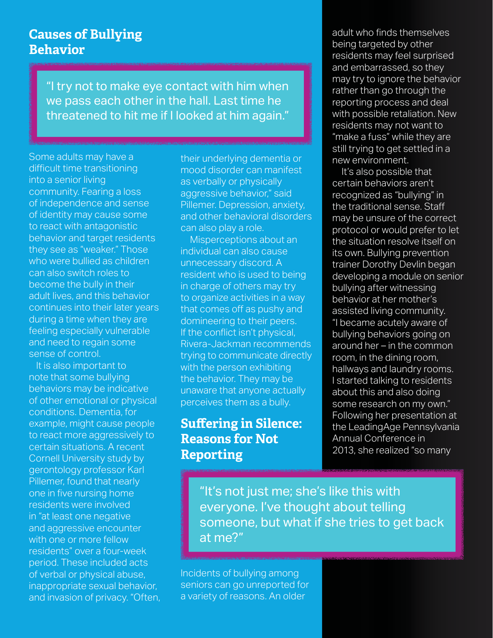#### **Causes of Bullying Behavior**

"I try not to make eye contact with him when we pass each other in the hall. Last time he threatened to hit me if I looked at him again."

Some adults may have a difficult time transitioning into a senior living community. Fearing a loss of independence and sense of identity may cause some to react with antagonistic behavior and target residents they see as "weaker." Those who were bullied as children can also switch roles to become the bully in their adult lives, and this behavior continues into their later years during a time when they are feeling especially vulnerable and need to regain some sense of control.

and invasion of privacy. "Often, **12** of verbal or physical abuse, It is also important to note that some bullying behaviors may be indicative of other emotional or physical conditions. Dementia, for example, might cause people to react more aggressively to certain situations. A recent Cornell University study by gerontology professor Karl Pillemer, found that nearly one in five nursing home residents were involved in "at least one negative and aggressive encounter with one or more fellow residents" over a four-week period. These included acts inappropriate sexual behavior,

their underlying dementia or mood disorder can manifest as verbally or physically aggressive behavior," said Pillemer. Depression, anxiety, and other behavioral disorders can also play a role.

 Misperceptions about an individual can also cause unnecessary discord. A resident who is used to being in charge of others may try to organize activities in a way that comes off as pushy and domineering to their peers. If the conflict isn't physical, Rivera-Jackman recommends trying to communicate directly with the person exhibiting the behavior. They may be unaware that anyone actually perceives them as a bully.

### **Suffering in Silence: Reasons for Not Reporting**

adult who finds themselves being targeted by other residents may feel surprised and embarrassed, so they may try to ignore the behavior rather than go through the reporting process and deal with possible retaliation. New residents may not want to "make a fuss" while they are still trying to get settled in a new environment.

 It's also possible that certain behaviors aren't recognized as "bullying" in the traditional sense. Staff may be unsure of the correct protocol or would prefer to let the situation resolve itself on its own. Bullying prevention trainer Dorothy Devlin began developing a module on senior bullying after witnessing behavior at her mother's assisted living community. "I became acutely aware of bullying behaviors going on around her – in the common room, in the dining room, hallways and laundry rooms. I started talking to residents about this and also doing some research on my own." Following her presentation at the LeadingAge Pennsylvania Annual Conference in 2013, she realized "so many

"It's not just me; she's like this with everyone. I've thought about telling someone, but what if she tries to get back at me?"

Incidents of bullying among seniors can go unreported for a variety of reasons. An older